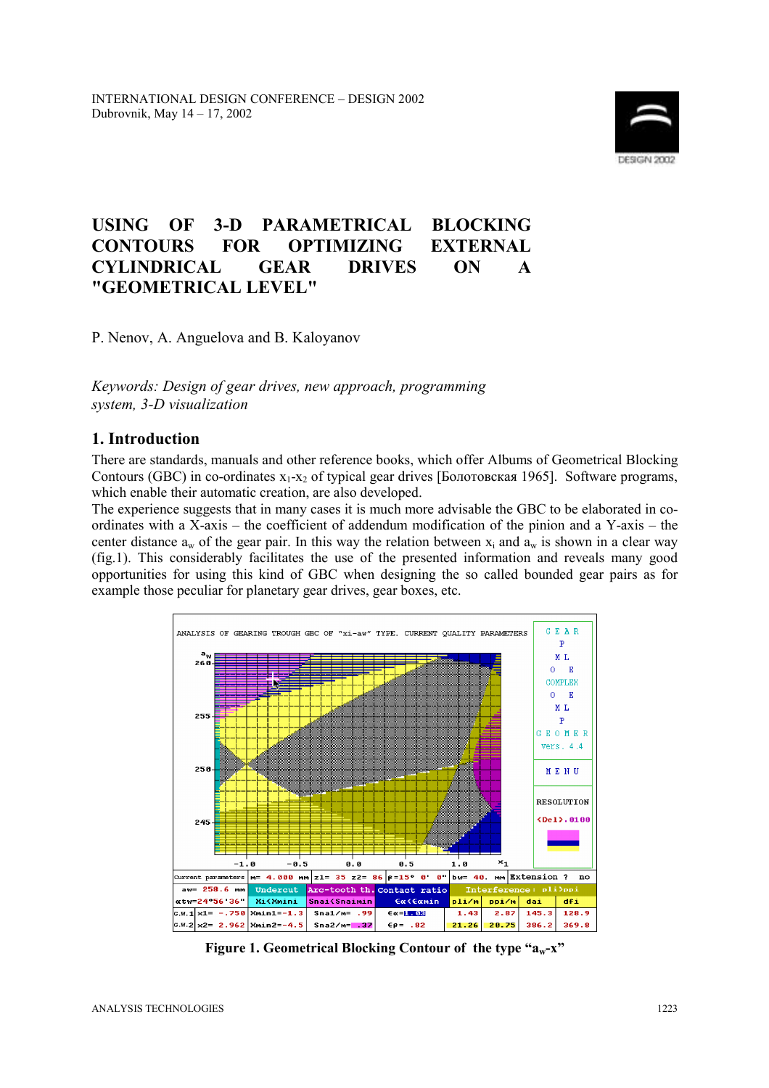

# **USING OF 3-D PARAMETRICAL BLOCKING CONTOURS FOR OPTIMIZING EXTERNAL CYLINDRICAL GEAR DRIVES ON A "GEOMETRICAL LEVEL"**

P. Nenov, A. Anguelova and B. Kaloyanov

*Keywords: Design of gear drives, new approach, programming system, 3-D visualization* 

#### **1. Introduction**

There are standards, manuals and other reference books, which offer Albums of Geometrical Blocking Contours (GBC) in co-ordinates  $x_1-x_2$  of typical gear drives [Болотовская 1965]. Software programs, which enable their automatic creation, are also developed.

The experience suggests that in many cases it is much more advisable the GBC to be elaborated in coordinates with a X-axis – the coefficient of addendum modification of the pinion and a Y-axis – the center distance  $a_w$  of the gear pair. In this way the relation between  $x_i$  and  $a_w$  is shown in a clear way (fig.1). This considerably facilitates the use of the presented information and reveals many good opportunities for using this kind of GBC when designing the so called bounded gear pairs as for example those peculiar for planetary gear drives, gear boxes, etc.



**Figure 1. Geometrical Blocking Contour of the type "** $a_w$ **-<b>x**"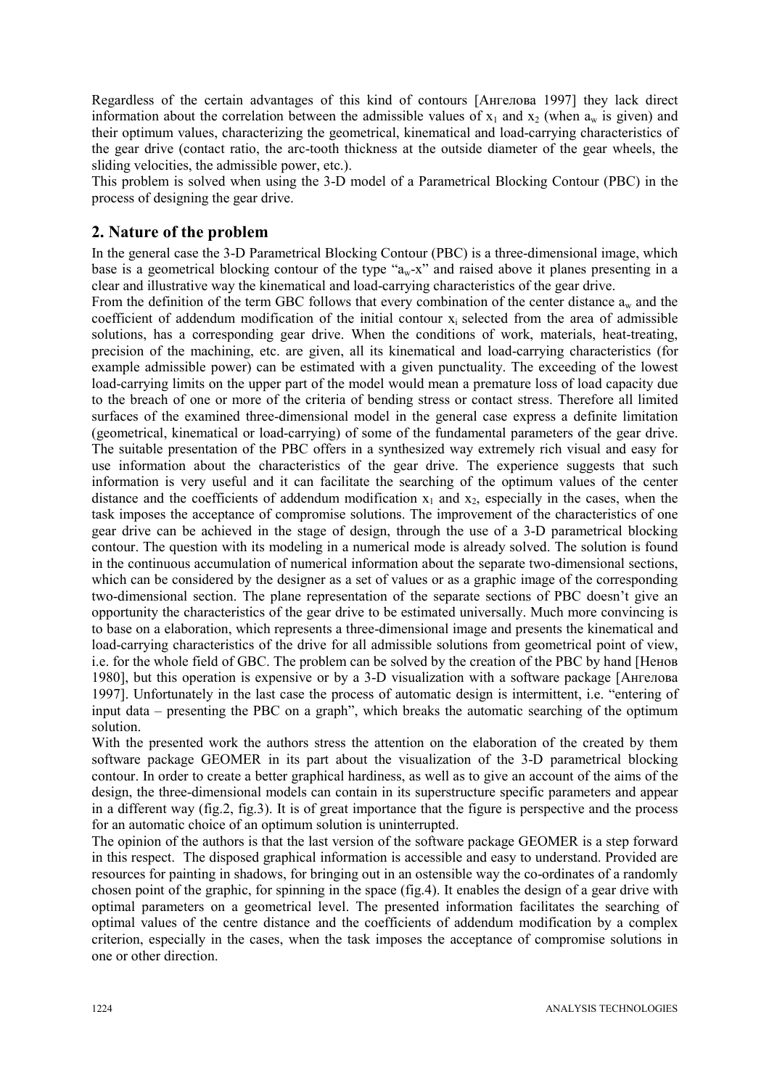Regardless of the certain advantages of this kind of contours [Ангелова 1997] they lack direct information about the correlation between the admissible values of  $x_1$  and  $x_2$  (when  $a_w$  is given) and their optimum values, characterizing the geometrical, kinematical and load-carrying characteristics of the gear drive (contact ratio, the arc-tooth thickness at the outside diameter of the gear wheels, the sliding velocities, the admissible power, etc.).

This problem is solved when using the 3-D model of a Parametrical Blocking Contour (PBC) in the process of designing the gear drive.

## **2. Nature of the problem**

In the general case the 3-D Parametrical Blocking Contour (PBC) is a three-dimensional image, which base is a geometrical blocking contour of the type  $a_w-x$  and raised above it planes presenting in a clear and illustrative way the kinematical and load-carrying characteristics of the gear drive.

From the definition of the term GBC follows that every combination of the center distance  $a_w$  and the coefficient of addendum modification of the initial contour  $x_i$  selected from the area of admissible solutions, has a corresponding gear drive. When the conditions of work, materials, heat-treating, precision of the machining, etc. are given, all its kinematical and load-carrying characteristics (for example admissible power) can be estimated with a given punctuality. The exceeding of the lowest load-carrying limits on the upper part of the model would mean a premature loss of load capacity due to the breach of one or more of the criteria of bending stress or contact stress. Therefore all limited surfaces of the examined three-dimensional model in the general case express a definite limitation (geometrical, kinematical or load-carrying) of some of the fundamental parameters of the gear drive. The suitable presentation of the PBC offers in a synthesized way extremely rich visual and easy for use information about the characteristics of the gear drive. The experience suggests that such information is very useful and it can facilitate the searching of the optimum values of the center distance and the coefficients of addendum modification  $x_1$  and  $x_2$ , especially in the cases, when the task imposes the acceptance of compromise solutions. The improvement of the characteristics of one gear drive can be achieved in the stage of design, through the use of a 3-D parametrical blocking contour. The question with its modeling in a numerical mode is already solved. The solution is found in the continuous accumulation of numerical information about the separate two-dimensional sections, which can be considered by the designer as a set of values or as a graphic image of the corresponding two-dimensional section. The plane representation of the separate sections of PBC doesn't give an opportunity the characteristics of the gear drive to be estimated universally. Much more convincing is to base on a elaboration, which represents a three-dimensional image and presents the kinematical and load-carrying characteristics of the drive for all admissible solutions from geometrical point of view, i.e. for the whole field of GBC. The problem can be solved by the creation of the PBC by hand [Ненов 1980], but this operation is expensive or by a 3-D visualization with a software package [Ангелова 1997]. Unfortunately in the last case the process of automatic design is intermittent, i.e. "entering of input data  $-$  presenting the PBC on a graph<sup>"</sup>, which breaks the automatic searching of the optimum solution.

With the presented work the authors stress the attention on the elaboration of the created by them software package GEOMER in its part about the visualization of the 3-D parametrical blocking contour. In order to create a better graphical hardiness, as well as to give an account of the aims of the design, the three-dimensional models can contain in its superstructure specific parameters and appear in a different way (fig.2, fig.3). It is of great importance that the figure is perspective and the process for an automatic choice of an optimum solution is uninterrupted.

The opinion of the authors is that the last version of the software package GEOMER is a step forward in this respect. The disposed graphical information is accessible and easy to understand. Provided are resources for painting in shadows, for bringing out in an ostensible way the co-ordinates of a randomly chosen point of the graphic, for spinning in the space (fig.4). It enables the design of a gear drive with optimal parameters on a geometrical level. The presented information facilitates the searching of optimal values of the centre distance and the coefficients of addendum modification by a complex criterion, especially in the cases, when the task imposes the acceptance of compromise solutions in one or other direction.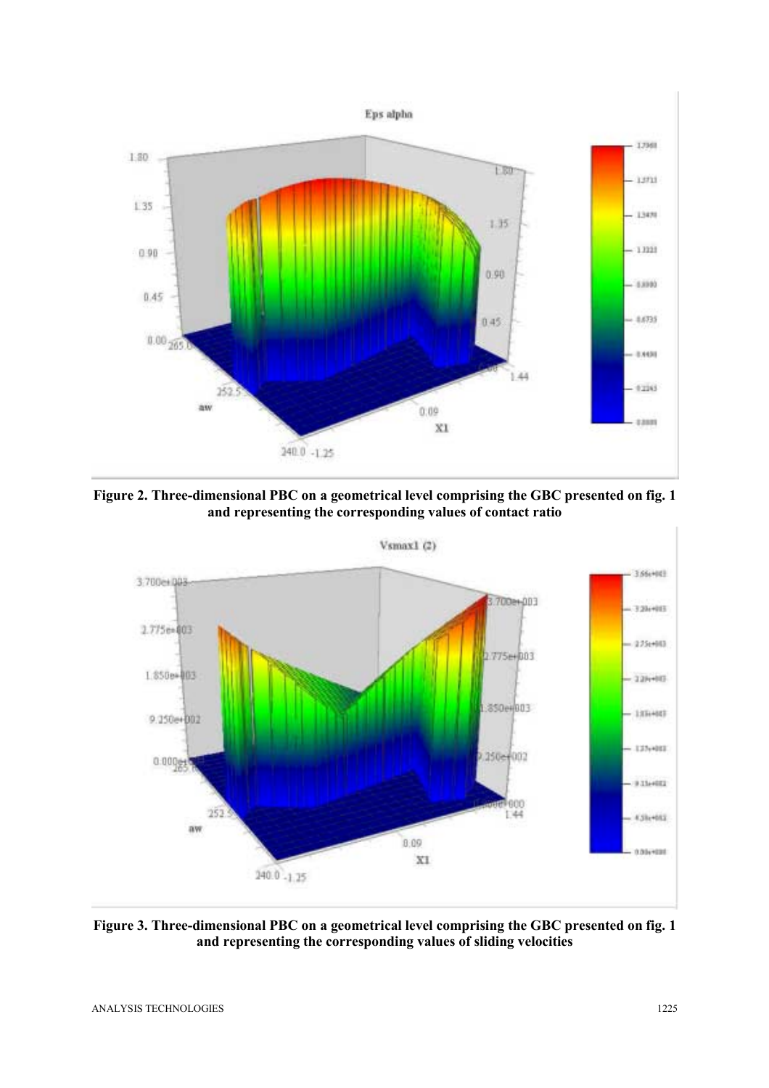

**Figure 2. Three-dimensional PBC on a geometrical level comprising the GBC presented on fig. 1 and representing the corresponding values of contact ratio** 



**Figure 3. Three-dimensional PBC on a geometrical level comprising the GBC presented on fig. 1 and representing the corresponding values of sliding velocities**